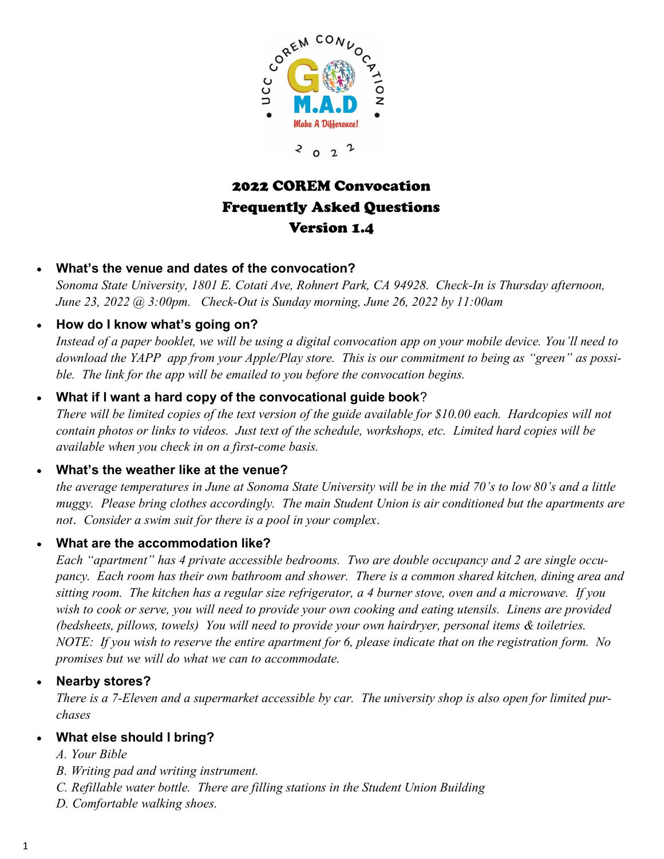

 $\boldsymbol{\mathcal{L}}$  $\begin{array}{ccc} 2 & 0 & 2 \end{array}$ 

# 2022 COREM Convocation Frequently Asked Questions Version 1.4

#### • **What's the venue and dates of the convocation?**

*Sonoma State University, 1801 E. Cotati Ave, Rohnert Park, CA 94928. Check-In is Thursday afternoon, June 23, 2022 @ 3:00pm. Check-Out is Sunday morning, June 26, 2022 by 11:00am*

# • **How do I know what's going on?**

*Instead of a paper booklet, we will be using a digital convocation app on your mobile device. You'll need to download the YAPP app from your Apple/Play store. This is our commitment to being as "green" as possible. The link for the app will be emailed to you before the convocation begins.*

# • **What if I want a hard copy of the convocational guide book**?

*There will be limited copies of the text version of the guide available for \$10.00 each. Hardcopies will not contain photos or links to videos. Just text of the schedule, workshops, etc. Limited hard copies will be available when you check in on a first-come basis.*

#### • **What's the weather like at the venue?**

*the average temperatures in June at Sonoma State University will be in the mid 70's to low 80's and a little muggy. Please bring clothes accordingly. The main Student Union is air conditioned but the apartments are not*. *Consider a swim suit for there is a pool in your complex*.

#### • **What are the accommodation like?**

*Each "apartment" has 4 private accessible bedrooms. Two are double occupancy and 2 are single occupancy. Each room has their own bathroom and shower. There is a common shared kitchen, dining area and sitting room. The kitchen has a regular size refrigerator, a 4 burner stove, oven and a microwave. If you wish to cook or serve, you will need to provide your own cooking and eating utensils. Linens are provided (bedsheets, pillows, towels) You will need to provide your own hairdryer, personal items & toiletries. NOTE: If you wish to reserve the entire apartment for 6, please indicate that on the registration form. No promises but we will do what we can to accommodate.*

#### • **Nearby stores?**

*There is a 7-Eleven and a supermarket accessible by car. The university shop is also open for limited purchases*

#### • **What else should I bring?**

- *A. Your Bible*
- *B. Writing pad and writing instrument.*
- *C. Refillable water bottle. There are filling stations in the Student Union Building*
- *D. Comfortable walking shoes.*